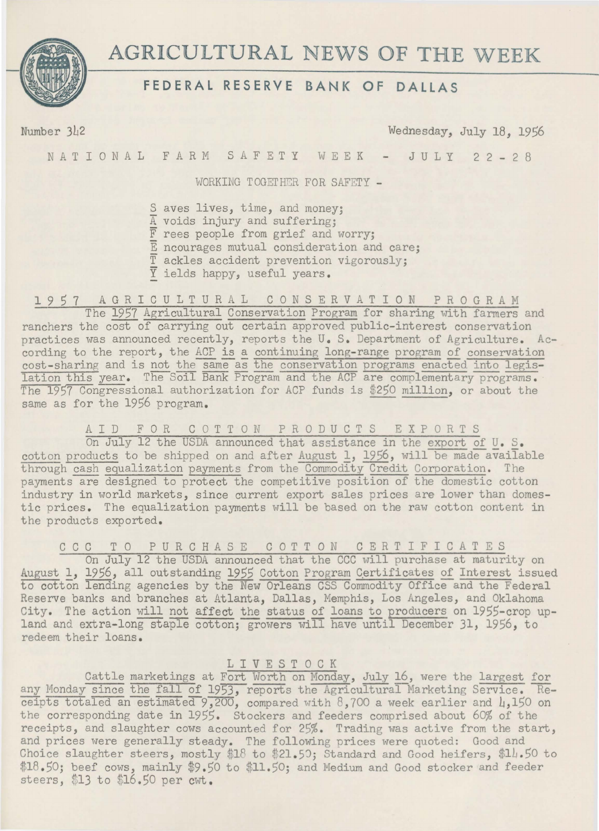

# **AGRICULTURAL** NEWS **OF THE** WEEK

# **FEDERAL RESERVE BANK OF DALLAS**

Number 342 Wednesday, July 18, 1956

NATIONAL FARM SAFETY WEEK - JULY 22-28

WORKING TOGETHER FOR SAFETY -

S aves lives, time, and money; A voids injury and suffering; F rees people from grief and worry; E ncourages mutual consideration and care; T ackles accident prevention vigorously; Y ields happy, useful years.

## 1957 AGRICULTURAL CONSERVATION PROGRAM

The 1957 Agricultural Conservation Program for sharing with farmers and ranchers the cost of carrying out certain approved public-interest conservation practices was announced recently, reports the U. S. Department of Agriculture. According to the report, the ACP is a continuing long-range program of conservation cost-sharing and is not the same as the conservation programs enacted into legislation this year. The Soil Bank Program and the ACP are complementary programs. The 1957 Congressional authorization for ACP funds is \$250 million, or about the same as for the 1956 program.

#### AID FOR COTTON PRODUCTS EXPORTS

On July 12 the USDA announced that assistance in the export of U. s. cotton products to be shipped on and after August 1, 1956, will be made available through cash equalization payments from the Commodity Credit Corporation. The payments are designed to protect the competitive position of the domestic cotton industry in world markets, since current export sales prices are lower than domestic prices. The equalization payments will be based on the raw cotton content in the products exported.

CCC TO PURCHASE COTTON CERTIFICATES

On July 12 the USDA announced that the CCC will purchase at maturity on August 1, 1956, all outstanding 1955 Cotton Program Certificates of Interest issued to cotton lending agencies by the New Orleans CSS Commodity Office-and the Federal Reserve banks and branches at Atlanta, Dallas, Memphis, Los Angeles, and Oklahoma City. The action will not affect the status of loans to producers on 1955-crop upland and extra-long staple cotton; growers will have until December 31, 1956, to redeem their loans.

#### 1 I V E S T 0 C K

Cattle marketings at Fort Worth on Monday, July 16, were the largest for any Monday since the fall of 1953, reports the Agricultural Marketing Service. Receipts totaled an estimated  $9,200$ , compared with 8,700 a week earlier and 4,150 on the corresponding date in 1955. Stockers and feeders comprised about 60% of the receipts, and slaughter cows accounted for 25%. Trading was active from the start, and prices were generally steady. The following prices were quoted: Good and Choice slaughter steers, mostly \$18 to \$21.50; Standard and Good heifers, \$14.50 to \$18.50; beef cows, mainly \$9.50 to \$11.50; and Medium and Good stocker and feeder steers, \$13 to \$16.50 per  $cwt$ .